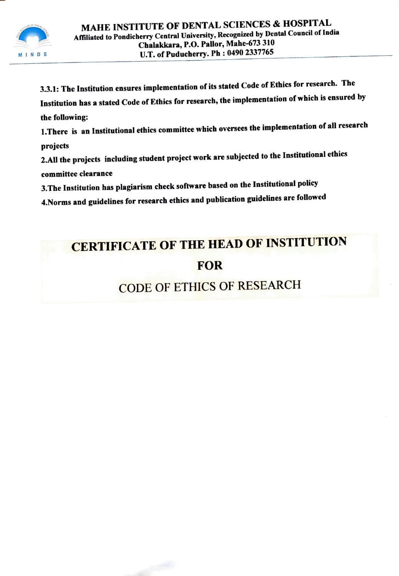

3.3.1: The Institution ensures implementation of its stated Code of Ethics for research. The Institution has a stated Code of Ethics for research, the implementation of which is ensured by the following: I. There is an Institutional ethics committee which oversees the implementation of all research projects

2.All the projects including student project work are subjected to the Institutional ethics committee clearance

3.The Institution has plagiarism check software based on the Institutional policy

4.Norms and guidelines for research ethics and publication guidelines are followed

## CERTIFICATE OF THE HEAD OF INSTITUTION FOR

## CODE OF ETHICS OF RESEARCH